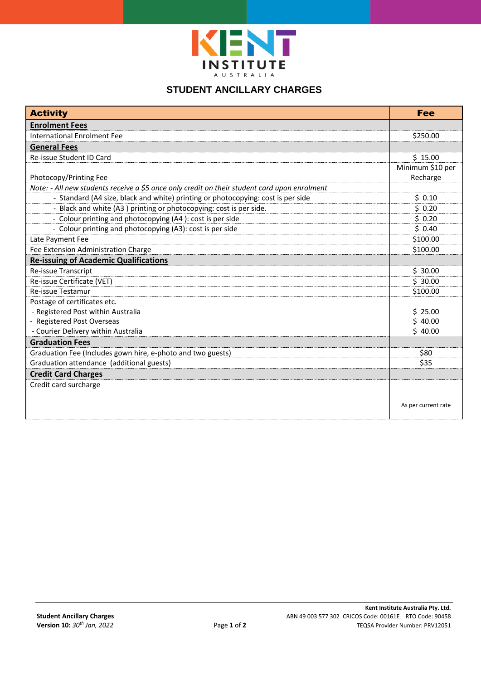

## **STUDENT ANCILLARY CHARGES**

| <b>Activity</b>                                                                              | Fee                 |
|----------------------------------------------------------------------------------------------|---------------------|
| <b>Enrolment Fees</b>                                                                        |                     |
| International Enrolment Fee                                                                  | \$250.00            |
| <b>General Fees</b>                                                                          |                     |
| Re-issue Student ID Card                                                                     | \$15.00             |
|                                                                                              | Minimum \$10 per    |
| Photocopy/Printing Fee                                                                       | Recharge            |
| Note: - All new students receive a \$5 once only credit on their student card upon enrolment |                     |
| - Standard (A4 size, black and white) printing or photocopying: cost is per side             | \$0.10              |
| - Black and white (A3) printing or photocopying: cost is per side.                           | \$0.20              |
| - Colour printing and photocopying (A4): cost is per side                                    | \$0.20              |
| - Colour printing and photocopying (A3): cost is per side                                    | \$0.40              |
| Late Payment Fee                                                                             | \$100.00            |
| Fee Extension Administration Charge                                                          | \$100.00            |
| <b>Re-issuing of Academic Qualifications</b>                                                 |                     |
| Re-issue Transcript                                                                          | \$30.00             |
| Re-issue Certificate (VET)                                                                   | \$30.00             |
| <b>Re-issue Testamur</b>                                                                     | \$100.00            |
| Postage of certificates etc.                                                                 |                     |
| - Registered Post within Australia                                                           | \$25.00             |
| - Registered Post Overseas                                                                   | \$40.00             |
| - Courier Delivery within Australia                                                          | \$40.00             |
| <b>Graduation Fees</b>                                                                       |                     |
| Graduation Fee (Includes gown hire, e-photo and two guests)                                  | \$80                |
| Graduation attendance (additional guests)                                                    | \$35                |
| <b>Credit Card Charges</b>                                                                   |                     |
| Credit card surcharge                                                                        |                     |
|                                                                                              |                     |
|                                                                                              | As per current rate |
|                                                                                              |                     |